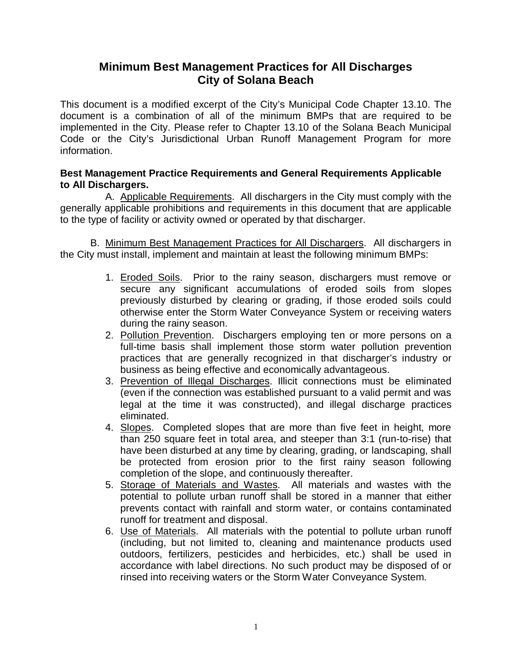# **Minimum Best Management Practices for All Discharges City of Solana Beach**

This document is a modified excerpt of the City's Municipal Code Chapter 13.10. The document is a combination of all of the minimum BMPs that are required to be implemented in the City. Please refer to Chapter 13.10 of the Solana Beach Municipal Code or the City's Jurisdictional Urban Runoff Management Program for more information.

## **Best Management Practice Requirements and General Requirements Applicable to All Dischargers.**

A. Applicable Requirements. All dischargers in the City must comply with the generally applicable prohibitions and requirements in this document that are applicable to the type of facility or activity owned or operated by that discharger.

B. Minimum Best Management Practices for All Dischargers. All dischargers in the City must install, implement and maintain at least the following minimum BMPs:

- 1. Eroded Soils. Prior to the rainy season, dischargers must remove or secure any significant accumulations of eroded soils from slopes previously disturbed by clearing or grading, if those eroded soils could otherwise enter the Storm Water Conveyance System or receiving waters during the rainy season.
- 2. Pollution Prevention. Dischargers employing ten or more persons on a full-time basis shall implement those storm water pollution prevention practices that are generally recognized in that discharger's industry or business as being effective and economically advantageous.
- 3. Prevention of Illegal Discharges. Illicit connections must be eliminated (even if the connection was established pursuant to a valid permit and was legal at the time it was constructed), and illegal discharge practices eliminated.
- 4. Slopes. Completed slopes that are more than five feet in height, more than 250 square feet in total area, and steeper than 3:1 (run-to-rise) that have been disturbed at any time by clearing, grading, or landscaping, shall be protected from erosion prior to the first rainy season following completion of the slope, and continuously thereafter.
- 5. Storage of Materials and Wastes. All materials and wastes with the potential to pollute urban runoff shall be stored in a manner that either prevents contact with rainfall and storm water, or contains contaminated runoff for treatment and disposal.
- 6. Use of Materials. All materials with the potential to pollute urban runoff (including, but not limited to, cleaning and maintenance products used outdoors, fertilizers, pesticides and herbicides, etc.) shall be used in accordance with label directions. No such product may be disposed of or rinsed into receiving waters or the Storm Water Conveyance System.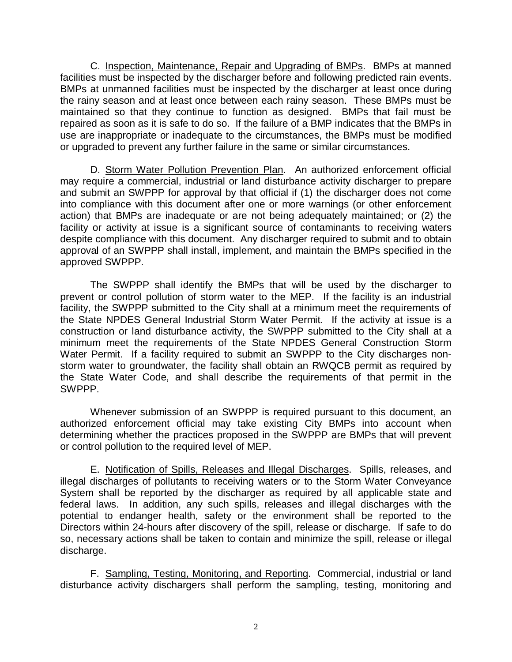C. Inspection, Maintenance, Repair and Upgrading of BMPs. BMPs at manned facilities must be inspected by the discharger before and following predicted rain events. BMPs at unmanned facilities must be inspected by the discharger at least once during the rainy season and at least once between each rainy season. These BMPs must be maintained so that they continue to function as designed. BMPs that fail must be repaired as soon as it is safe to do so. If the failure of a BMP indicates that the BMPs in use are inappropriate or inadequate to the circumstances, the BMPs must be modified or upgraded to prevent any further failure in the same or similar circumstances.

D. Storm Water Pollution Prevention Plan. An authorized enforcement official may require a commercial, industrial or land disturbance activity discharger to prepare and submit an SWPPP for approval by that official if (1) the discharger does not come into compliance with this document after one or more warnings (or other enforcement action) that BMPs are inadequate or are not being adequately maintained; or (2) the facility or activity at issue is a significant source of contaminants to receiving waters despite compliance with this document. Any discharger required to submit and to obtain approval of an SWPPP shall install, implement, and maintain the BMPs specified in the approved SWPPP.

The SWPPP shall identify the BMPs that will be used by the discharger to prevent or control pollution of storm water to the MEP. If the facility is an industrial facility, the SWPPP submitted to the City shall at a minimum meet the requirements of the State NPDES General Industrial Storm Water Permit. If the activity at issue is a construction or land disturbance activity, the SWPPP submitted to the City shall at a minimum meet the requirements of the State NPDES General Construction Storm Water Permit. If a facility required to submit an SWPPP to the City discharges nonstorm water to groundwater, the facility shall obtain an RWQCB permit as required by the State Water Code, and shall describe the requirements of that permit in the SWPPP.

Whenever submission of an SWPPP is required pursuant to this document, an authorized enforcement official may take existing City BMPs into account when determining whether the practices proposed in the SWPPP are BMPs that will prevent or control pollution to the required level of MEP.

E. Notification of Spills, Releases and Illegal Discharges. Spills, releases, and illegal discharges of pollutants to receiving waters or to the Storm Water Conveyance System shall be reported by the discharger as required by all applicable state and federal laws. In addition, any such spills, releases and illegal discharges with the potential to endanger health, safety or the environment shall be reported to the Directors within 24-hours after discovery of the spill, release or discharge. If safe to do so, necessary actions shall be taken to contain and minimize the spill, release or illegal discharge.

F. Sampling, Testing, Monitoring, and Reporting. Commercial, industrial or land disturbance activity dischargers shall perform the sampling, testing, monitoring and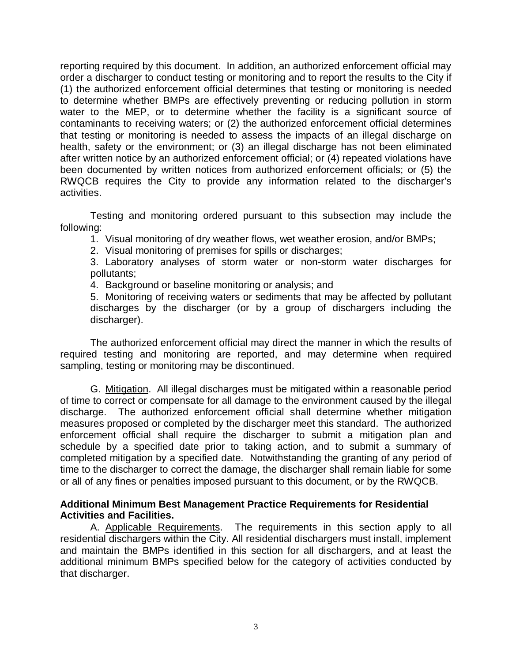reporting required by this document. In addition, an authorized enforcement official may order a discharger to conduct testing or monitoring and to report the results to the City if (1) the authorized enforcement official determines that testing or monitoring is needed to determine whether BMPs are effectively preventing or reducing pollution in storm water to the MEP, or to determine whether the facility is a significant source of contaminants to receiving waters; or (2) the authorized enforcement official determines that testing or monitoring is needed to assess the impacts of an illegal discharge on health, safety or the environment; or (3) an illegal discharge has not been eliminated after written notice by an authorized enforcement official; or (4) repeated violations have been documented by written notices from authorized enforcement officials; or (5) the RWQCB requires the City to provide any information related to the discharger's activities.

Testing and monitoring ordered pursuant to this subsection may include the following:

1. Visual monitoring of dry weather flows, wet weather erosion, and/or BMPs;

2. Visual monitoring of premises for spills or discharges;

3. Laboratory analyses of storm water or non-storm water discharges for pollutants;

4. Background or baseline monitoring or analysis; and

5. Monitoring of receiving waters or sediments that may be affected by pollutant discharges by the discharger (or by a group of dischargers including the discharger).

The authorized enforcement official may direct the manner in which the results of required testing and monitoring are reported, and may determine when required sampling, testing or monitoring may be discontinued.

G. Mitigation. All illegal discharges must be mitigated within a reasonable period of time to correct or compensate for all damage to the environment caused by the illegal discharge. The authorized enforcement official shall determine whether mitigation measures proposed or completed by the discharger meet this standard. The authorized enforcement official shall require the discharger to submit a mitigation plan and schedule by a specified date prior to taking action, and to submit a summary of completed mitigation by a specified date. Notwithstanding the granting of any period of time to the discharger to correct the damage, the discharger shall remain liable for some or all of any fines or penalties imposed pursuant to this document, or by the RWQCB.

#### **Additional Minimum Best Management Practice Requirements for Residential Activities and Facilities.**

A. Applicable Requirements. The requirements in this section apply to all residential dischargers within the City. All residential dischargers must install, implement and maintain the BMPs identified in this section for all dischargers, and at least the additional minimum BMPs specified below for the category of activities conducted by that discharger.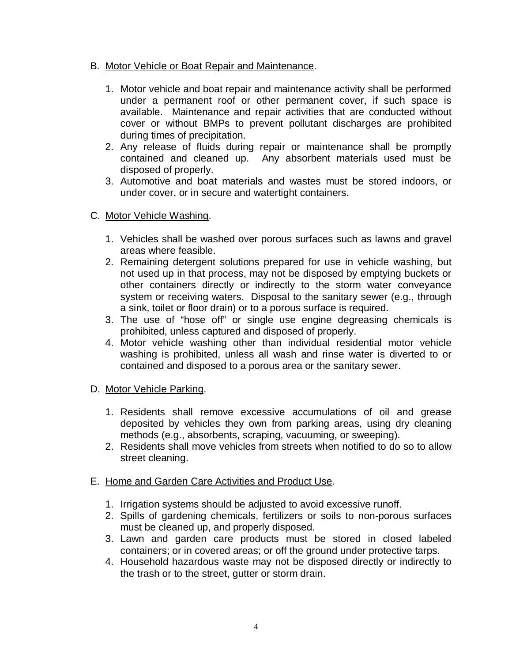## B. Motor Vehicle or Boat Repair and Maintenance.

- 1. Motor vehicle and boat repair and maintenance activity shall be performed under a permanent roof or other permanent cover, if such space is available. Maintenance and repair activities that are conducted without cover or without BMPs to prevent pollutant discharges are prohibited during times of precipitation.
- 2. Any release of fluids during repair or maintenance shall be promptly contained and cleaned up. Any absorbent materials used must be disposed of properly.
- 3. Automotive and boat materials and wastes must be stored indoors, or under cover, or in secure and watertight containers.

## C. Motor Vehicle Washing.

- 1. Vehicles shall be washed over porous surfaces such as lawns and gravel areas where feasible.
- 2. Remaining detergent solutions prepared for use in vehicle washing, but not used up in that process, may not be disposed by emptying buckets or other containers directly or indirectly to the storm water conveyance system or receiving waters. Disposal to the sanitary sewer (e.g., through a sink, toilet or floor drain) or to a porous surface is required.
- 3. The use of "hose off" or single use engine degreasing chemicals is prohibited, unless captured and disposed of properly.
- 4. Motor vehicle washing other than individual residential motor vehicle washing is prohibited, unless all wash and rinse water is diverted to or contained and disposed to a porous area or the sanitary sewer.

# D. Motor Vehicle Parking.

- 1. Residents shall remove excessive accumulations of oil and grease deposited by vehicles they own from parking areas, using dry cleaning methods (e.g., absorbents, scraping, vacuuming, or sweeping).
- 2. Residents shall move vehicles from streets when notified to do so to allow street cleaning.

#### E. Home and Garden Care Activities and Product Use.

- 1. Irrigation systems should be adjusted to avoid excessive runoff.
- 2. Spills of gardening chemicals, fertilizers or soils to non-porous surfaces must be cleaned up, and properly disposed.
- 3. Lawn and garden care products must be stored in closed labeled containers; or in covered areas; or off the ground under protective tarps.
- 4. Household hazardous waste may not be disposed directly or indirectly to the trash or to the street, gutter or storm drain.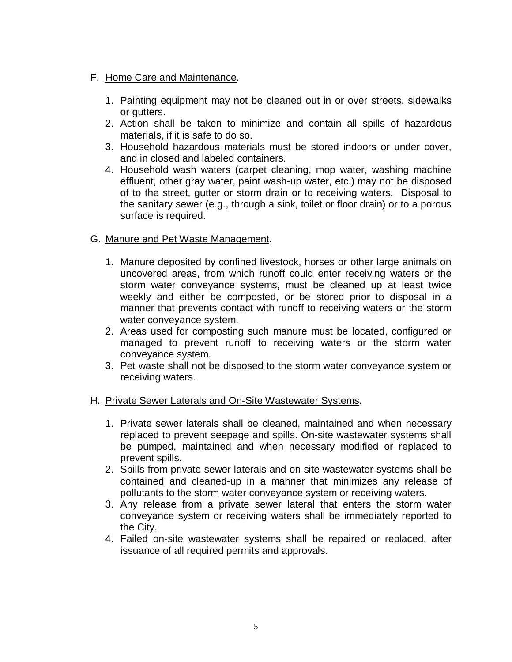- F. Home Care and Maintenance.
	- 1. Painting equipment may not be cleaned out in or over streets, sidewalks or gutters.
	- 2. Action shall be taken to minimize and contain all spills of hazardous materials, if it is safe to do so.
	- 3. Household hazardous materials must be stored indoors or under cover, and in closed and labeled containers.
	- 4. Household wash waters (carpet cleaning, mop water, washing machine effluent, other gray water, paint wash-up water, etc.) may not be disposed of to the street, gutter or storm drain or to receiving waters. Disposal to the sanitary sewer (e.g., through a sink, toilet or floor drain) or to a porous surface is required.

## G. Manure and Pet Waste Management.

- 1. Manure deposited by confined livestock, horses or other large animals on uncovered areas, from which runoff could enter receiving waters or the storm water conveyance systems, must be cleaned up at least twice weekly and either be composted, or be stored prior to disposal in a manner that prevents contact with runoff to receiving waters or the storm water conveyance system.
- 2. Areas used for composting such manure must be located, configured or managed to prevent runoff to receiving waters or the storm water conveyance system.
- 3. Pet waste shall not be disposed to the storm water conveyance system or receiving waters.

#### H. Private Sewer Laterals and On-Site Wastewater Systems.

- 1. Private sewer laterals shall be cleaned, maintained and when necessary replaced to prevent seepage and spills. On-site wastewater systems shall be pumped, maintained and when necessary modified or replaced to prevent spills.
- 2. Spills from private sewer laterals and on-site wastewater systems shall be contained and cleaned-up in a manner that minimizes any release of pollutants to the storm water conveyance system or receiving waters.
- 3. Any release from a private sewer lateral that enters the storm water conveyance system or receiving waters shall be immediately reported to the City.
- 4. Failed on-site wastewater systems shall be repaired or replaced, after issuance of all required permits and approvals.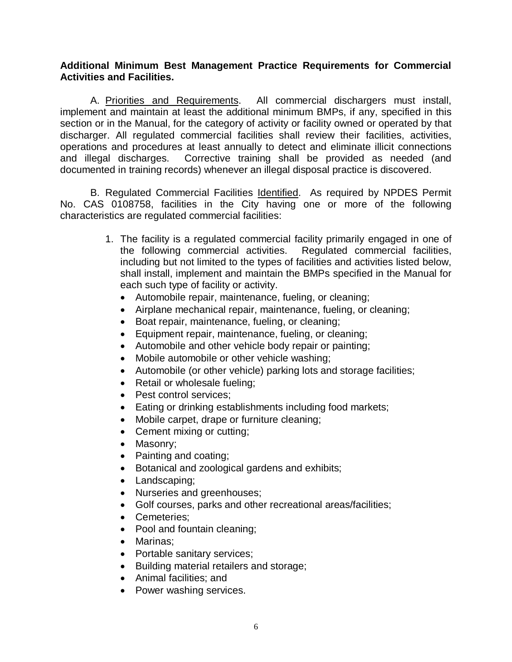#### **Additional Minimum Best Management Practice Requirements for Commercial Activities and Facilities.**

A. Priorities and Requirements. All commercial dischargers must install, implement and maintain at least the additional minimum BMPs, if any, specified in this section or in the Manual, for the category of activity or facility owned or operated by that discharger. All regulated commercial facilities shall review their facilities, activities, operations and procedures at least annually to detect and eliminate illicit connections and illegal discharges. Corrective training shall be provided as needed (and documented in training records) whenever an illegal disposal practice is discovered.

B. Regulated Commercial Facilities Identified. As required by NPDES Permit No. CAS 0108758, facilities in the City having one or more of the following characteristics are regulated commercial facilities:

- 1. The facility is a regulated commercial facility primarily engaged in one of the following commercial activities. Regulated commercial facilities, including but not limited to the types of facilities and activities listed below. shall install, implement and maintain the BMPs specified in the Manual for each such type of facility or activity.
	- Automobile repair, maintenance, fueling, or cleaning;
	- Airplane mechanical repair, maintenance, fueling, or cleaning;
	- Boat repair, maintenance, fueling, or cleaning;
	- Equipment repair, maintenance, fueling, or cleaning;
	- Automobile and other vehicle body repair or painting;
	- Mobile automobile or other vehicle washing;
	- Automobile (or other vehicle) parking lots and storage facilities;
	- Retail or wholesale fueling:
	- Pest control services;
	- Eating or drinking establishments including food markets;
	- Mobile carpet, drape or furniture cleaning;
	- Cement mixing or cutting;
	- Masonry;
	- Painting and coating;
	- Botanical and zoological gardens and exhibits;
	- Landscaping;
	- Nurseries and greenhouses;
	- Golf courses, parks and other recreational areas/facilities;
	- Cemeteries;
	- Pool and fountain cleaning;
	- Marinas;
	- Portable sanitary services;
	- Building material retailers and storage;
	- Animal facilities; and
	- Power washing services.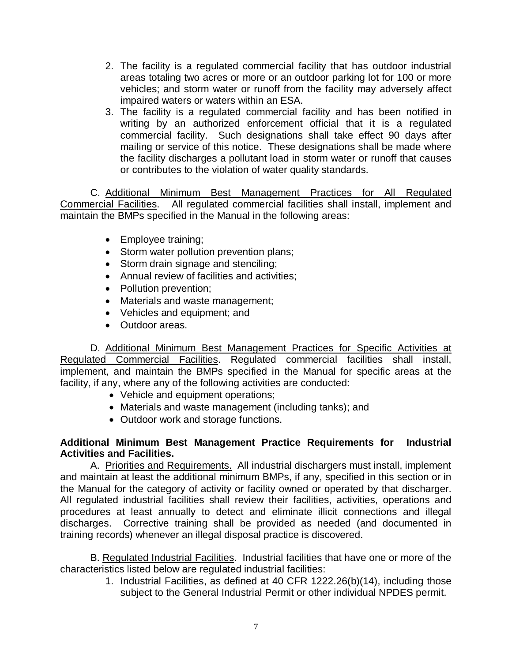- 2. The facility is a regulated commercial facility that has outdoor industrial areas totaling two acres or more or an outdoor parking lot for 100 or more vehicles; and storm water or runoff from the facility may adversely affect impaired waters or waters within an ESA.
- 3. The facility is a regulated commercial facility and has been notified in writing by an authorized enforcement official that it is a regulated commercial facility. Such designations shall take effect 90 days after mailing or service of this notice. These designations shall be made where the facility discharges a pollutant load in storm water or runoff that causes or contributes to the violation of water quality standards.

C. Additional Minimum Best Management Practices for All Regulated Commercial Facilities. All regulated commercial facilities shall install, implement and maintain the BMPs specified in the Manual in the following areas:

- Employee training;
- Storm water pollution prevention plans;
- Storm drain signage and stenciling;
- Annual review of facilities and activities;
- Pollution prevention;
- Materials and waste management;
- Vehicles and equipment; and
- Outdoor areas.

D. Additional Minimum Best Management Practices for Specific Activities at Regulated Commercial Facilities. Regulated commercial facilities shall install, implement, and maintain the BMPs specified in the Manual for specific areas at the facility, if any, where any of the following activities are conducted:

- Vehicle and equipment operations;
- Materials and waste management (including tanks); and
- Outdoor work and storage functions.

## **Additional Minimum Best Management Practice Requirements for Industrial Activities and Facilities.**

A. Priorities and Requirements. All industrial dischargers must install, implement and maintain at least the additional minimum BMPs, if any, specified in this section or in the Manual for the category of activity or facility owned or operated by that discharger. All regulated industrial facilities shall review their facilities, activities, operations and procedures at least annually to detect and eliminate illicit connections and illegal discharges. Corrective training shall be provided as needed (and documented in training records) whenever an illegal disposal practice is discovered.

B. Regulated Industrial Facilities. Industrial facilities that have one or more of the characteristics listed below are regulated industrial facilities:

1. Industrial Facilities, as defined at 40 CFR 1222.26(b)(14), including those subject to the General Industrial Permit or other individual NPDES permit.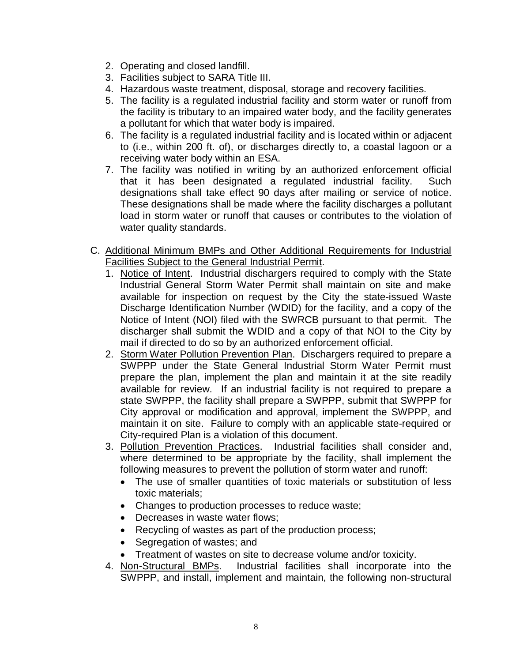- 2. Operating and closed landfill.
- 3. Facilities subject to SARA Title III.
- 4. Hazardous waste treatment, disposal, storage and recovery facilities.
- 5. The facility is a regulated industrial facility and storm water or runoff from the facility is tributary to an impaired water body, and the facility generates a pollutant for which that water body is impaired.
- 6. The facility is a regulated industrial facility and is located within or adjacent to (i.e., within 200 ft. of), or discharges directly to, a coastal lagoon or a receiving water body within an ESA.
- 7. The facility was notified in writing by an authorized enforcement official that it has been designated a regulated industrial facility. Such designations shall take effect 90 days after mailing or service of notice. These designations shall be made where the facility discharges a pollutant load in storm water or runoff that causes or contributes to the violation of water quality standards.
- C. Additional Minimum BMPs and Other Additional Requirements for Industrial Facilities Subject to the General Industrial Permit.
	- 1. Notice of Intent. Industrial dischargers required to comply with the State Industrial General Storm Water Permit shall maintain on site and make available for inspection on request by the City the state-issued Waste Discharge Identification Number (WDID) for the facility, and a copy of the Notice of Intent (NOI) filed with the SWRCB pursuant to that permit. The discharger shall submit the WDID and a copy of that NOI to the City by mail if directed to do so by an authorized enforcement official.
	- 2. Storm Water Pollution Prevention Plan. Dischargers required to prepare a SWPPP under the State General Industrial Storm Water Permit must prepare the plan, implement the plan and maintain it at the site readily available for review. If an industrial facility is not required to prepare a state SWPPP, the facility shall prepare a SWPPP, submit that SWPPP for City approval or modification and approval, implement the SWPPP, and maintain it on site. Failure to comply with an applicable state-required or City-required Plan is a violation of this document.
	- 3. Pollution Prevention Practices. Industrial facilities shall consider and, where determined to be appropriate by the facility, shall implement the following measures to prevent the pollution of storm water and runoff:
		- The use of smaller quantities of toxic materials or substitution of less toxic materials;
		- Changes to production processes to reduce waste;
		- Decreases in waste water flows;
		- Recycling of wastes as part of the production process;
		- Segregation of wastes; and
		- Treatment of wastes on site to decrease volume and/or toxicity.
	- 4. Non-Structural BMPs. Industrial facilities shall incorporate into the SWPPP, and install, implement and maintain, the following non-structural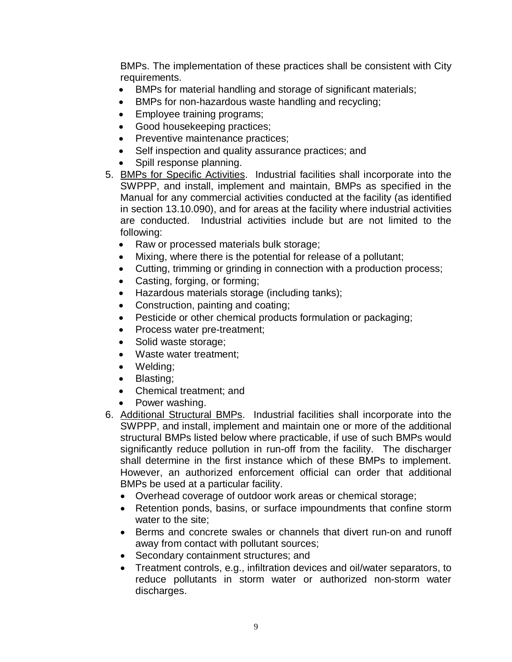BMPs. The implementation of these practices shall be consistent with City requirements.

- BMPs for material handling and storage of significant materials;
- BMPs for non-hazardous waste handling and recycling;
- Employee training programs;
- Good housekeeping practices;
- Preventive maintenance practices;
- Self inspection and quality assurance practices; and
- Spill response planning.
- 5. BMPs for Specific Activities. Industrial facilities shall incorporate into the SWPPP, and install, implement and maintain, BMPs as specified in the Manual for any commercial activities conducted at the facility (as identified in section 13.10.090), and for areas at the facility where industrial activities are conducted. Industrial activities include but are not limited to the following:
	- Raw or processed materials bulk storage;
	- Mixing, where there is the potential for release of a pollutant;
	- Cutting, trimming or grinding in connection with a production process;
	- Casting, forging, or forming;
	- Hazardous materials storage (including tanks);
	- Construction, painting and coating;
	- Pesticide or other chemical products formulation or packaging;
	- Process water pre-treatment;
	- Solid waste storage;
	- Waste water treatment;
	- Welding;
	- Blasting;
	- Chemical treatment; and
	- Power washing.
- 6. Additional Structural BMPs. Industrial facilities shall incorporate into the SWPPP, and install, implement and maintain one or more of the additional structural BMPs listed below where practicable, if use of such BMPs would significantly reduce pollution in run-off from the facility. The discharger shall determine in the first instance which of these BMPs to implement. However, an authorized enforcement official can order that additional BMPs be used at a particular facility.
	- Overhead coverage of outdoor work areas or chemical storage;
	- Retention ponds, basins, or surface impoundments that confine storm water to the site;
	- Berms and concrete swales or channels that divert run-on and runoff away from contact with pollutant sources;
	- Secondary containment structures; and
	- Treatment controls, e.g., infiltration devices and oil/water separators, to reduce pollutants in storm water or authorized non-storm water discharges.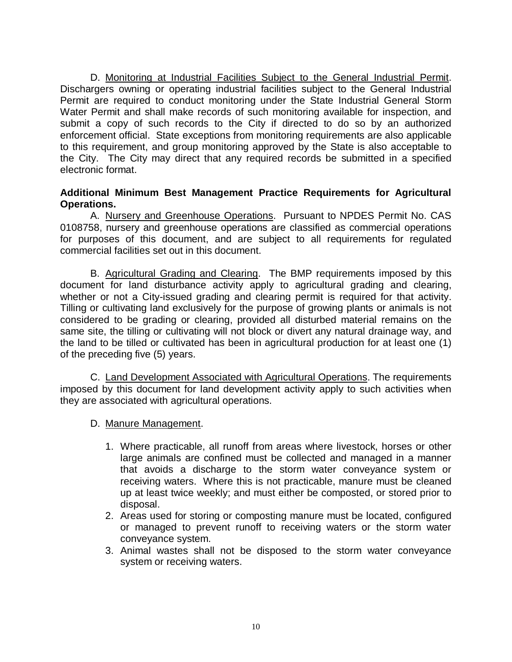D. Monitoring at Industrial Facilities Subject to the General Industrial Permit. Dischargers owning or operating industrial facilities subject to the General Industrial Permit are required to conduct monitoring under the State Industrial General Storm Water Permit and shall make records of such monitoring available for inspection, and submit a copy of such records to the City if directed to do so by an authorized enforcement official. State exceptions from monitoring requirements are also applicable to this requirement, and group monitoring approved by the State is also acceptable to the City. The City may direct that any required records be submitted in a specified electronic format.

#### **Additional Minimum Best Management Practice Requirements for Agricultural Operations.**

A. Nursery and Greenhouse Operations. Pursuant to NPDES Permit No. CAS 0108758, nursery and greenhouse operations are classified as commercial operations for purposes of this document, and are subject to all requirements for regulated commercial facilities set out in this document.

B. Agricultural Grading and Clearing. The BMP requirements imposed by this document for land disturbance activity apply to agricultural grading and clearing, whether or not a City-issued grading and clearing permit is required for that activity. Tilling or cultivating land exclusively for the purpose of growing plants or animals is not considered to be grading or clearing, provided all disturbed material remains on the same site, the tilling or cultivating will not block or divert any natural drainage way, and the land to be tilled or cultivated has been in agricultural production for at least one (1) of the preceding five (5) years.

C. Land Development Associated with Agricultural Operations. The requirements imposed by this document for land development activity apply to such activities when they are associated with agricultural operations.

- D. Manure Management.
	- 1. Where practicable, all runoff from areas where livestock, horses or other large animals are confined must be collected and managed in a manner that avoids a discharge to the storm water conveyance system or receiving waters. Where this is not practicable, manure must be cleaned up at least twice weekly; and must either be composted, or stored prior to disposal.
	- 2. Areas used for storing or composting manure must be located, configured or managed to prevent runoff to receiving waters or the storm water conveyance system.
	- 3. Animal wastes shall not be disposed to the storm water conveyance system or receiving waters.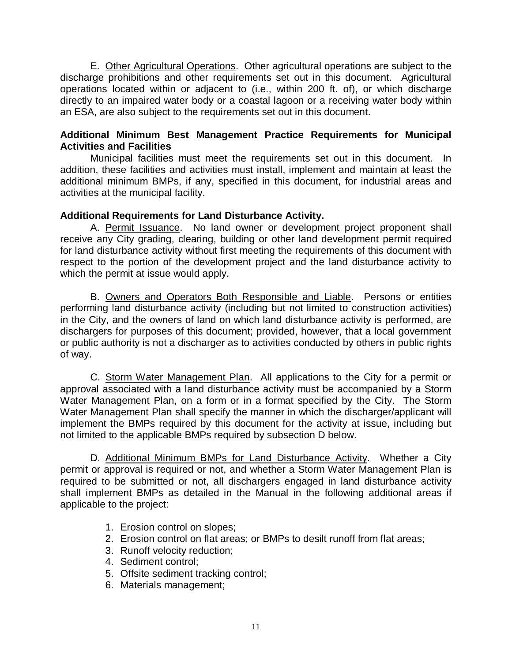E. Other Agricultural Operations. Other agricultural operations are subject to the discharge prohibitions and other requirements set out in this document. Agricultural operations located within or adjacent to (i.e., within 200 ft. of), or which discharge directly to an impaired water body or a coastal lagoon or a receiving water body within an ESA, are also subject to the requirements set out in this document.

#### **Additional Minimum Best Management Practice Requirements for Municipal Activities and Facilities**

Municipal facilities must meet the requirements set out in this document. In addition, these facilities and activities must install, implement and maintain at least the additional minimum BMPs, if any, specified in this document, for industrial areas and activities at the municipal facility.

# **Additional Requirements for Land Disturbance Activity.**

A. Permit Issuance. No land owner or development project proponent shall receive any City grading, clearing, building or other land development permit required for land disturbance activity without first meeting the requirements of this document with respect to the portion of the development project and the land disturbance activity to which the permit at issue would apply.

B. Owners and Operators Both Responsible and Liable. Persons or entities performing land disturbance activity (including but not limited to construction activities) in the City, and the owners of land on which land disturbance activity is performed, are dischargers for purposes of this document; provided, however, that a local government or public authority is not a discharger as to activities conducted by others in public rights of way.

C. Storm Water Management Plan. All applications to the City for a permit or approval associated with a land disturbance activity must be accompanied by a Storm Water Management Plan, on a form or in a format specified by the City. The Storm Water Management Plan shall specify the manner in which the discharger/applicant will implement the BMPs required by this document for the activity at issue, including but not limited to the applicable BMPs required by subsection D below.

D. Additional Minimum BMPs for Land Disturbance Activity. Whether a City permit or approval is required or not, and whether a Storm Water Management Plan is required to be submitted or not, all dischargers engaged in land disturbance activity shall implement BMPs as detailed in the Manual in the following additional areas if applicable to the project:

- 1. Erosion control on slopes;
- 2. Erosion control on flat areas; or BMPs to desilt runoff from flat areas;
- 3. Runoff velocity reduction;
- 4. Sediment control;
- 5. Offsite sediment tracking control;
- 6. Materials management;